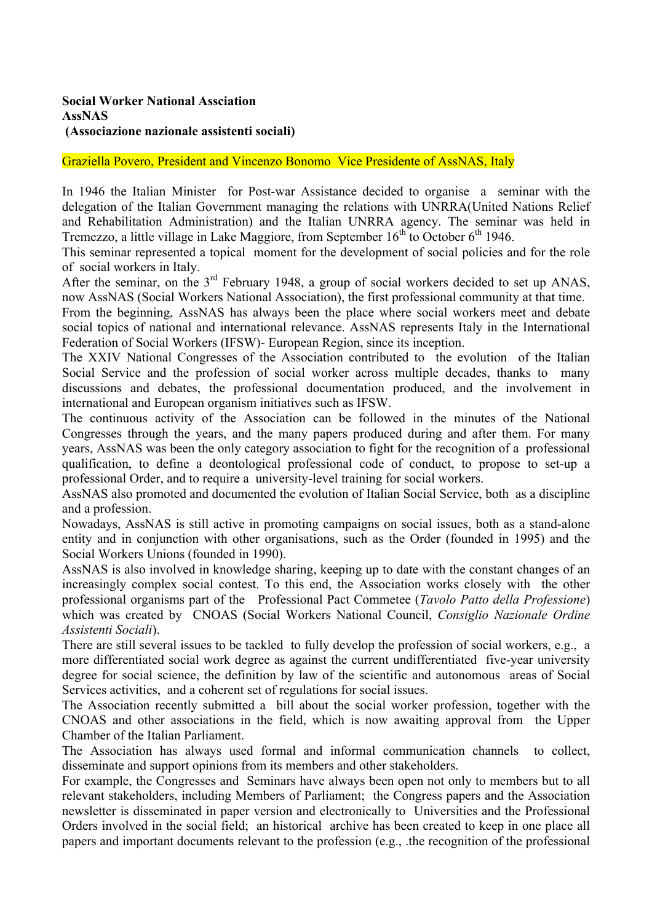## **Social Worker National Assciation AssNAS (Associazione nazionale assistenti sociali)**

## Graziella Povero, President and Vincenzo Bonomo Vice Presidente of AssNAS, Italy

In 1946 the Italian Minister for Post-war Assistance decided to organise a seminar with the delegation of the Italian Government managing the relations with UNRRA(United Nations Relief and Rehabilitation Administration) and the Italian UNRRA agency. The seminar was held in Tremezzo, a little village in Lake Maggiore, from September  $16<sup>th</sup>$  to October  $6<sup>th</sup>$  1946.

This seminar represented a topical moment for the development of social policies and for the role of social workers in Italy.

After the seminar, on the  $3<sup>rd</sup>$  February 1948, a group of social workers decided to set up ANAS, now AssNAS (Social Workers National Association), the first professional community at that time.

From the beginning, AssNAS has always been the place where social workers meet and debate social topics of national and international relevance. AssNAS represents Italy in the International Federation of Social Workers (IFSW)- European Region, since its inception.

The XXIV National Congresses of the Association contributed to the evolution of the Italian Social Service and the profession of social worker across multiple decades, thanks to many discussions and debates, the professional documentation produced, and the involvement in international and European organism initiatives such as IFSW.

The continuous activity of the Association can be followed in the minutes of the National Congresses through the years, and the many papers produced during and after them. For many years, AssNAS was been the only category association to fight for the recognition of a professional qualification, to define a deontological professional code of conduct, to propose to set-up a professional Order, and to require a university-level training for social workers.

AssNAS also promoted and documented the evolution of Italian Social Service, both as a discipline and a profession.

Nowadays, AssNAS is still active in promoting campaigns on social issues, both as a stand-alone entity and in conjunction with other organisations, such as the Order (founded in 1995) and the Social Workers Unions (founded in 1990).

AssNAS is also involved in knowledge sharing, keeping up to date with the constant changes of an increasingly complex social contest. To this end, the Association works closely with the other professional organisms part of the Professional Pact Commetee (*Tavolo Patto della Professione*) which was created by CNOAS (Social Workers National Council, *Consiglio Nazionale Ordine Assistenti Sociali*).

There are still several issues to be tackled to fully develop the profession of social workers, e.g., a more differentiated social work degree as against the current undifferentiated five-year university degree for social science, the definition by law of the scientific and autonomous areas of Social Services activities, and a coherent set of regulations for social issues.

The Association recently submitted a bill about the social worker profession, together with the CNOAS and other associations in the field, which is now awaiting approval from the Upper Chamber of the Italian Parliament.

The Association has always used formal and informal communication channels to collect, disseminate and support opinions from its members and other stakeholders.

For example, the Congresses and Seminars have always been open not only to members but to all relevant stakeholders, including Members of Parliament; the Congress papers and the Association newsletter is disseminated in paper version and electronically to Universities and the Professional Orders involved in the social field; an historical archive has been created to keep in one place all papers and important documents relevant to the profession (e.g., .the recognition of the professional